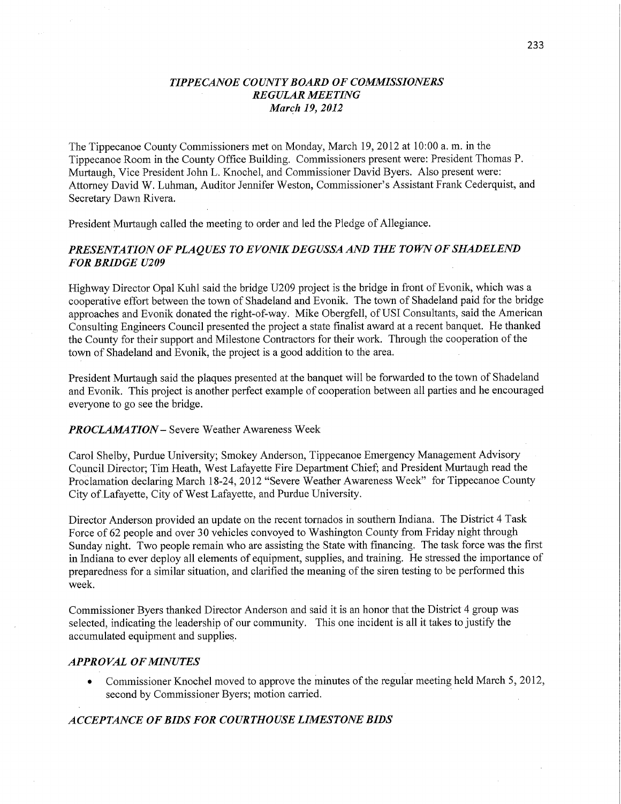### *TIPPECANOE COUNTY BOARD* OF *COMMISSIONERS REGULAR MEETING Marqh* 19, *2012*

The Tippecanoe County Commissioners met on Monday, March 19, 2012 at 10:00 a. m. in the Tippecanoe Room in the County Office Building. Commissioners present were: President Thomas P. Murtaugh, Vice President John L. Knochel, and Commissioner David Byers. Also present were: Attorney David W. Luhman, Auditor Jennifer Weston, Commissioner's Assistant Frank Cederquist, and Secretary Dawn Rivera.

President Murtaugh called the meeting to order and led the Pledge of Allegiance.

# *PRESENTATION* OF *PLAQUES* T0 *E VONIK* DE *GUSSA* AND THE *TOWN* OF *SHADELEND*  FOR *BRIDGE U209*

Highway Director Opal Kuhl said the bridge U209 project is the bridge in front of Evonik, which was a cooperative effort between the town of Shadeland and Evonik. The town of Shadeland paid for the bridge approaches and Evonik donated the right-of—way. Mike Obergfell, of USI Consultants, said the **American**  Consulting Engineers Council presented the project a state finalist award at a recent banquet. He thanked the County for their support and Milestone Contractors for **their** work. Through the cooperation of the town of Shadeland and **Evonik,** the project is a good addition to **the** area. .

President Murtaugh said the plaques presented at the banquet will be forwarded to the town of Shadeland and Evonik. This project is another perfect example of cooperation between all parties and he encourage<sup>d</sup> everyone to go see the bridge.

#### *PROCLAMA TION* — **Severe** Weather Awareness Week

Carol Shelby, Purdue **University;** Smokey Anderson, Tippecanoe Emergency Management **Advisory**  Council Director; Tim **Heath,** West Lafayette Fire Department Chief; and President Murtaugh read the Proclamation declaring March 18-24, 2012 "Severe Weather Awareness Week" for Tippecanoe County City of. Lafayette, City of West Lafayette, and Purdue University.

Director Anderson provided an update on the recent tornados in southern Indiana. The District 4 Task Force of 62 people and over 30 vehicles convoyed to Washington County from Friday night through Sunday night. Two people remain who are assisting the State with **financing.** The task force was the first in **Indiana** to ever deploy all elements of equipment, supplies, and training. He stressed the importance of preparedness for a similar situation, and clarified the meaning of the **siren** testing to be performed **this**  week.

**Commissionér** Byers thanked Director **Anderson** and said it is an honor that the District 4 group was selected, indicating the leadership of our community. **This** one incident is all it takes to justify the accumulated equipment and supplies.

#### *APPROVAL* OF *MINUTES*

*0* Commissioner Knochel moved to approve the minutes of the regular meeting held **March** 5,2012, second by Commissioner Byers; motion carried.

#### *ACCEPTANCE* OF *BIDS* FOR *COURTHOUSE LIMESTONE BIDS*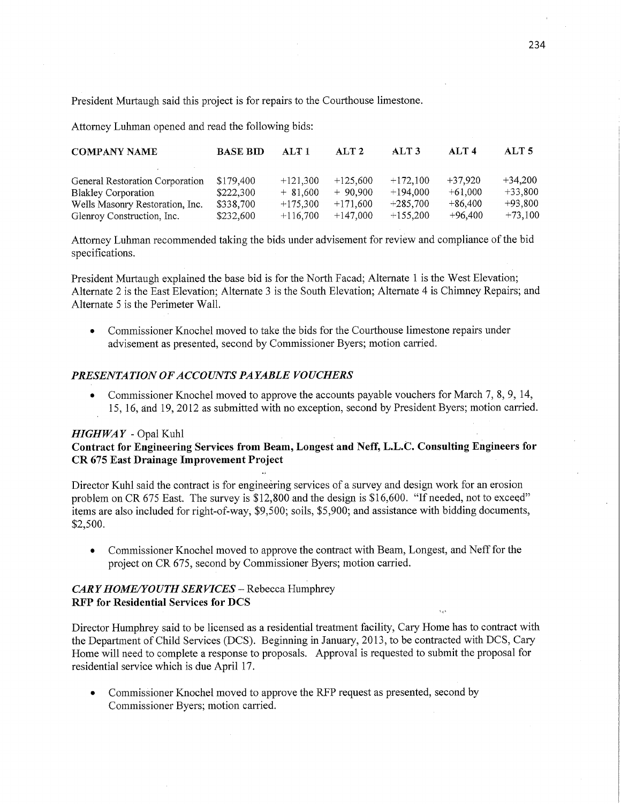President Murtaugh said this project is for repairs to the Courthouse limestone.

Attorney Luhman opened and read the following bids:

| <b>COMPANY NAME</b>             | <b>BASE BID</b> | ATT1       | ALT2       | ALT <sub>3</sub> | ATT4      | ALT <sub>5</sub> |
|---------------------------------|-----------------|------------|------------|------------------|-----------|------------------|
|                                 |                 |            |            |                  |           |                  |
| General Restoration Corporation | \$179.400       | $+121,300$ | $+125,600$ | $+172.100$       | $+37.920$ | $+34.200$        |
| <b>Blakley Corporation</b>      | \$222,300       | $+81,600$  | $+90.900$  | $+194.000$       | $+61,000$ | $+33.800$        |
| Wells Masonry Restoration, Inc. | \$338,700       | $+175,300$ | $+171,600$ | $+285.700$       | $+86,400$ | $+93,800$        |
| Glenroy Construction, Inc.      | \$232,600       | $+116,700$ | $+147,000$ | $+155,200$       | $+96.400$ | $+73.100$        |

Attorney Luhman recommended taking the bids under advisement for review and compliance of the bid specifications.

President Murtaugh explained the base bid is for the North Facad; Alternate 1 is the West Elevation; Alternate 2 is the East Elevation; Alternate 3 is the **South** Elevation; Alternate 4 is Chimney Repairs; and Alternate 5 is the Perimeter Wall.

**0** Commissioner Knochel moved to take the bids for the Courthouse limestone repairs under advisement as presented, second by Commissioner Byers; motion carried

# *PRESENTATION* OF *ACCOUNT S PAYABLE VOUCHERS*

**0** Commissioner Knochel moved to approve the accounts payable vouchers for March 7, 8, 9, 14, 15, 16, and 19, 2012 as submitted with no exception, second by President. Byers; motion carried.

# *HIGHWAY* - Opal Kuhl

# **Contract** for **Engineering Services from Beam, Longest** and **Neff,** L. L. C. **Consulting Engineers** for CR 675 **East Drainage Improvement Project**

Director Kuhl said the contract is for engineéring services of a survey and design work for an erosion problem on CR 675 East. The survey is \$12,800 and the design is \$16,600. "If needed, not to exceed" items are also included for right-of-way; \$9,500; soils, \$5,900; and assistance with bidding documents, \$2,500.

**0** Commissioner Knochel moved to approve the contract with Beam, Longest, and Neff for the project on CR 675, second by Commissioner Byers; motion carried.

# CARY HOME/YOUTH SERVICES - Rebecca Humphrey RFP for **Residential Services** for DCS

Director Humphrey said to be licensed as a residential treatment facility, Cary Home has to contract with the Department of Child Services (DCS). Beginning in January, 2013, to be contracted with DCS, Cary Home will need to complete a response to proposals. Approval is requested to submit the proposal for residential service which is due April 17.

**•** Commissioner Knochel moved to approve the RFP request as presented, second by Commissioner Byers; motion **carried.**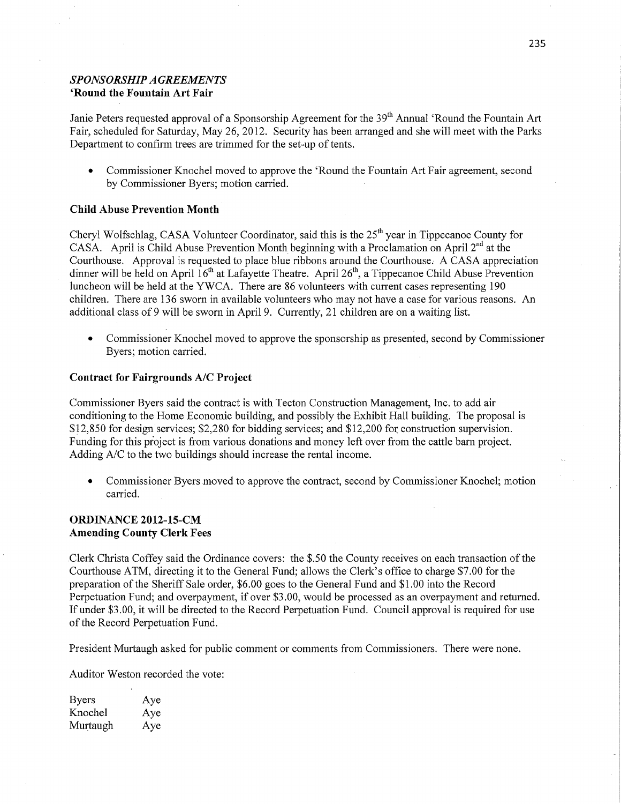# **SPONSORSHIP AGREEMENTS** 'Round the **Fountain** Art Fair

Janie Peters requested approval of a Sponsorship Agreement for the 39<sup>th</sup> Annual 'Round the Fountain Art Fair, scheduled for Saturday, May 26, 2012. Security has been arranged and she will meet with the Parks Department to confirm trees are trimmed for the set-up of tents.

**0** Commissioner Knochel moved to approve the 'Round the Fountain Art Fair agreement, second by Commissioner Byers; motion carried.

#### **Child Abuse** Prevention **Month-**

Cheryl Wolfschlag, CASA Volunteer Coordinator, said this is the 25<sup>th</sup> year in Tippecanoe County for CASA. April is Child Abuse Prevention Month beginning with a Proclamation on April  $2<sup>nd</sup>$  at the Courthouse. Approval is requested to place blue ribbons around the Courthouse; A CASA appreciation dinner will be held on April  $16<sup>th</sup>$  at Lafayette Theatre. April 26<sup>th</sup>, a Tippecanoe Child Abuse Prevention luncheon will be held at the YWCA. There are 86 volunteers with current cases representing 190 children. There are 136 sworn in available Volunteers who may not have <sup>a</sup>case for various reasons. An additional class of *9* will be sworn in April 9. Currently, 21 children are on a waiting list.

**0** Commissioner Knochel moved to approve the sponsorship as presented, second by Commissioner Byers; motion carried.

#### **Contract** for **Fairgrounds** A/C **Project**

Commissioner Byers said the contract is with Tecton Construction Management, Inc. to add air conditioning to the Home Economic building, and possibly the Exhibit Hall building. The proposal is \$12,850 for design services; \$2,280 for bidding services; and \$12,200 for construction supervision. Funding for this project is from various donations and money left over from the cattle barn project. Adding A/C to the two buildings should increase the rental income.

**0** Commissioner Byers moved to approve the contract, second by Commissioner Knochel; motion carried.

### **ORDINANCE 2012-15-CM Amending County Clerk Fees**

Clerk Christa Coffey said the Ordinance covers: the \$.50 the County receives on each transaction of the Courthouse **ATM,** directing it to the General Fund; allows the'Clerk's office to charge \$7.00 for the preparation of the Sheriff Sale order, \$6.00 goes to the General Fund and \$1.00 into the Record Perpetuation Fund; and overpayment, if over \$3.00, would be processed as an overpayment and returned. If under \$3.00, it will be directed to the **Record** Perpetuation Fund. Council approval is required for use of the Record Perpetuation Fund.

President Murtaugh asked for public comment or comments from Commissioners. There were none.

Auditor Weston recorded the vote:

| <b>Byers</b> | Aye |
|--------------|-----|
| Knochel      | Aye |
| Murtaugh     | Aye |